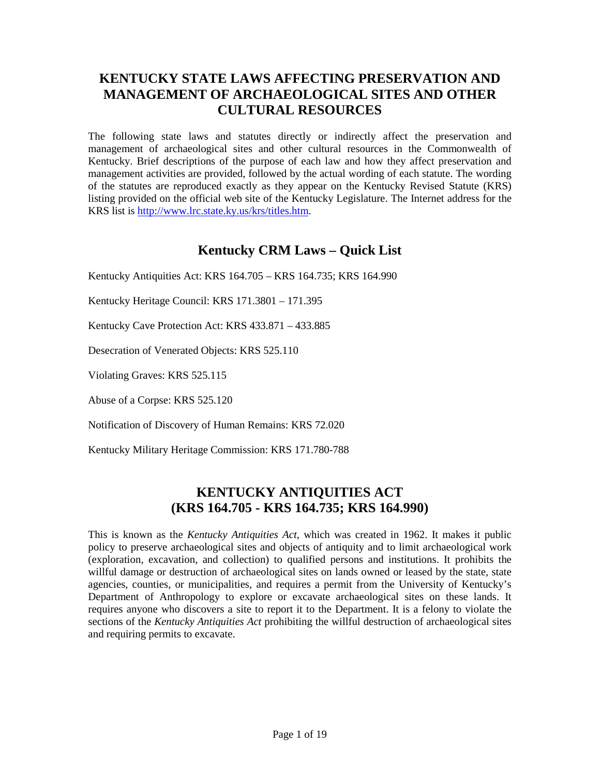# **KENTUCKY STATE LAWS AFFECTING PRESERVATION AND MANAGEMENT OF ARCHAEOLOGICAL SITES AND OTHER CULTURAL RESOURCES**

The following state laws and statutes directly or indirectly affect the preservation and management of archaeological sites and other cultural resources in the Commonwealth of Kentucky. Brief descriptions of the purpose of each law and how they affect preservation and management activities are provided, followed by the actual wording of each statute. The wording of the statutes are reproduced exactly as they appear on the Kentucky Revised Statute (KRS) listing provided on the official web site of the Kentucky Legislature. The Internet address for the KRS list is [http://www.lrc.state.ky.us/krs/titles.htm.](http://www.lrc.state.ky.us/krs/titles.htm)

## **Kentucky CRM Laws – Quick List**

Kentucky Antiquities Act: KRS 164.705 – KRS 164.735; KRS 164.990

Kentucky Heritage Council: KRS 171.3801 – 171.395

Kentucky Cave Protection Act: KRS 433.871 – 433.885

Desecration of Venerated Objects: KRS 525.110

Violating Graves: KRS 525.115

Abuse of a Corpse: KRS 525.120

Notification of Discovery of Human Remains: KRS 72.020

Kentucky Military Heritage Commission: KRS 171.780-788

## **KENTUCKY ANTIQUITIES ACT (KRS 164.705 - KRS 164.735; KRS 164.990)**

This is known as the *Kentucky Antiquities Act*, which was created in 1962. It makes it public policy to preserve archaeological sites and objects of antiquity and to limit archaeological work (exploration, excavation, and collection) to qualified persons and institutions. It prohibits the willful damage or destruction of archaeological sites on lands owned or leased by the state, state agencies, counties, or municipalities, and requires a permit from the University of Kentucky's Department of Anthropology to explore or excavate archaeological sites on these lands. It requires anyone who discovers a site to report it to the Department. It is a felony to violate the sections of the *Kentucky Antiquities Act* prohibiting the willful destruction of archaeological sites and requiring permits to excavate.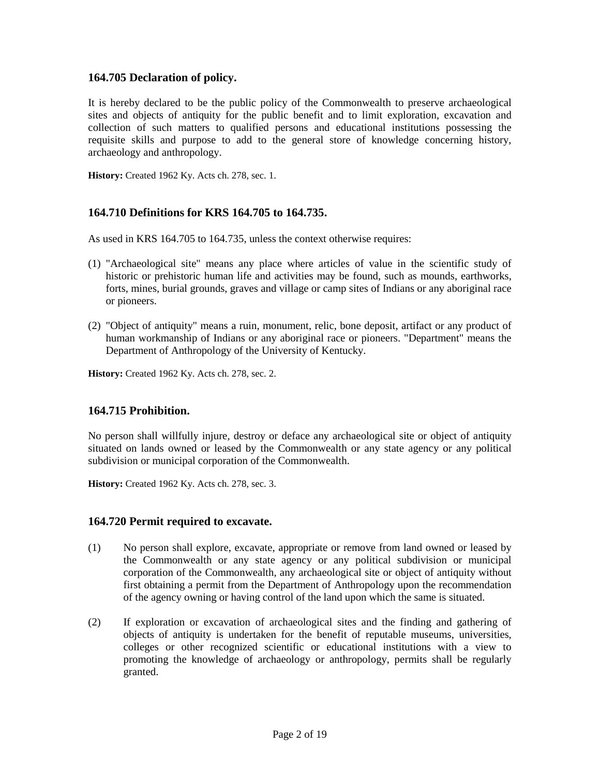### **164.705 Declaration of policy.**

It is hereby declared to be the public policy of the Commonwealth to preserve archaeological sites and objects of antiquity for the public benefit and to limit exploration, excavation and collection of such matters to qualified persons and educational institutions possessing the requisite skills and purpose to add to the general store of knowledge concerning history, archaeology and anthropology.

**History:** Created 1962 Ky. Acts ch. 278, sec. 1.

## **164.710 Definitions for KRS 164.705 to 164.735.**

As used in KRS 164.705 to 164.735, unless the context otherwise requires:

- (1) "Archaeological site" means any place where articles of value in the scientific study of historic or prehistoric human life and activities may be found, such as mounds, earthworks, forts, mines, burial grounds, graves and village or camp sites of Indians or any aboriginal race or pioneers.
- (2) "Object of antiquity" means a ruin, monument, relic, bone deposit, artifact or any product of human workmanship of Indians or any aboriginal race or pioneers. "Department" means the Department of Anthropology of the University of Kentucky.

**History:** Created 1962 Ky. Acts ch. 278, sec. 2.

### **164.715 Prohibition.**

No person shall willfully injure, destroy or deface any archaeological site or object of antiquity situated on lands owned or leased by the Commonwealth or any state agency or any political subdivision or municipal corporation of the Commonwealth.

**History:** Created 1962 Ky. Acts ch. 278, sec. 3.

### **164.720 Permit required to excavate.**

- (1) No person shall explore, excavate, appropriate or remove from land owned or leased by the Commonwealth or any state agency or any political subdivision or municipal corporation of the Commonwealth, any archaeological site or object of antiquity without first obtaining a permit from the Department of Anthropology upon the recommendation of the agency owning or having control of the land upon which the same is situated.
- (2) If exploration or excavation of archaeological sites and the finding and gathering of objects of antiquity is undertaken for the benefit of reputable museums, universities, colleges or other recognized scientific or educational institutions with a view to promoting the knowledge of archaeology or anthropology, permits shall be regularly granted.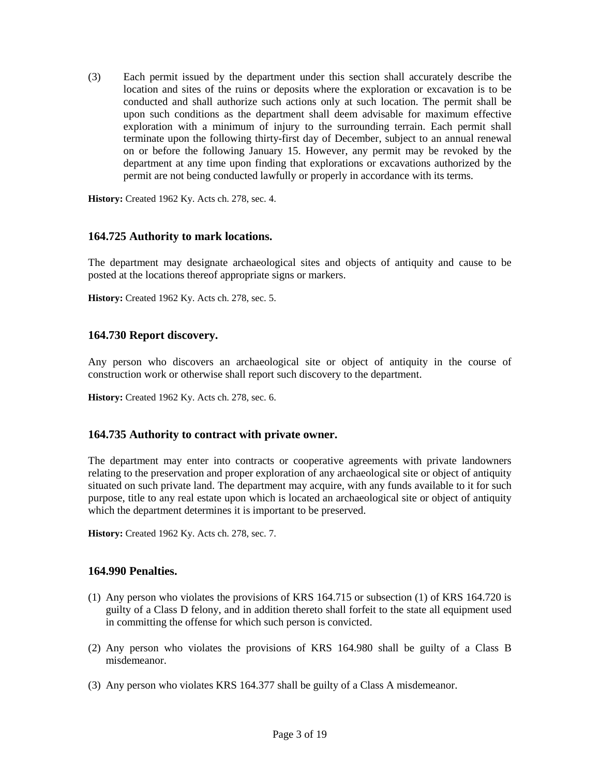(3) Each permit issued by the department under this section shall accurately describe the location and sites of the ruins or deposits where the exploration or excavation is to be conducted and shall authorize such actions only at such location. The permit shall be upon such conditions as the department shall deem advisable for maximum effective exploration with a minimum of injury to the surrounding terrain. Each permit shall terminate upon the following thirty-first day of December, subject to an annual renewal on or before the following January 15. However, any permit may be revoked by the department at any time upon finding that explorations or excavations authorized by the permit are not being conducted lawfully or properly in accordance with its terms.

**History:** Created 1962 Ky. Acts ch. 278, sec. 4.

## **164.725 Authority to mark locations.**

The department may designate archaeological sites and objects of antiquity and cause to be posted at the locations thereof appropriate signs or markers.

**History:** Created 1962 Ky. Acts ch. 278, sec. 5.

### **164.730 Report discovery.**

Any person who discovers an archaeological site or object of antiquity in the course of construction work or otherwise shall report such discovery to the department.

**History:** Created 1962 Ky. Acts ch. 278, sec. 6.

### **164.735 Authority to contract with private owner.**

The department may enter into contracts or cooperative agreements with private landowners relating to the preservation and proper exploration of any archaeological site or object of antiquity situated on such private land. The department may acquire, with any funds available to it for such purpose, title to any real estate upon which is located an archaeological site or object of antiquity which the department determines it is important to be preserved.

**History:** Created 1962 Ky. Acts ch. 278, sec. 7.

### **164.990 Penalties.**

- (1) Any person who violates the provisions of KRS 164.715 or subsection (1) of KRS 164.720 is guilty of a Class D felony, and in addition thereto shall forfeit to the state all equipment used in committing the offense for which such person is convicted.
- (2) Any person who violates the provisions of KRS 164.980 shall be guilty of a Class B misdemeanor.
- (3) Any person who violates KRS 164.377 shall be guilty of a Class A misdemeanor.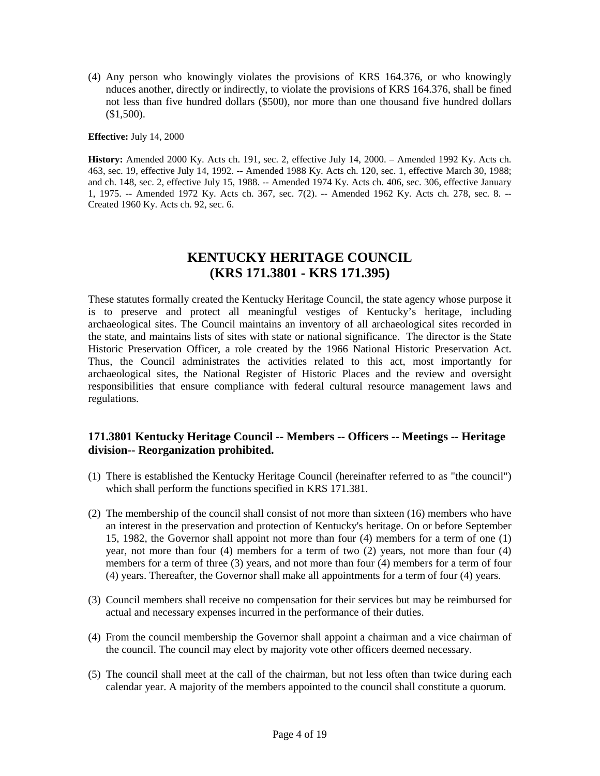(4) Any person who knowingly violates the provisions of KRS 164.376, or who knowingly nduces another, directly or indirectly, to violate the provisions of KRS 164.376, shall be fined not less than five hundred dollars (\$500), nor more than one thousand five hundred dollars (\$1,500).

**Effective:** July 14, 2000

**History:** Amended 2000 Ky. Acts ch. 191, sec. 2, effective July 14, 2000. – Amended 1992 Ky. Acts ch. 463, sec. 19, effective July 14, 1992. -- Amended 1988 Ky. Acts ch. 120, sec. 1, effective March 30, 1988; and ch. 148, sec. 2, effective July 15, 1988. -- Amended 1974 Ky. Acts ch. 406, sec. 306, effective January 1, 1975. -- Amended 1972 Ky. Acts ch. 367, sec. 7(2). -- Amended 1962 Ky. Acts ch. 278, sec. 8. -- Created 1960 Ky. Acts ch. 92, sec. 6.

## **KENTUCKY HERITAGE COUNCIL (KRS 171.3801 - KRS 171.395)**

These statutes formally created the Kentucky Heritage Council, the state agency whose purpose it is to preserve and protect all meaningful vestiges of Kentucky's heritage, including archaeological sites. The Council maintains an inventory of all archaeological sites recorded in the state, and maintains lists of sites with state or national significance. The director is the State Historic Preservation Officer, a role created by the 1966 National Historic Preservation Act. Thus, the Council administrates the activities related to this act, most importantly for archaeological sites, the National Register of Historic Places and the review and oversight responsibilities that ensure compliance with federal cultural resource management laws and regulations.

## **171.3801 Kentucky Heritage Council -- Members -- Officers -- Meetings -- Heritage division-- Reorganization prohibited.**

- (1) There is established the Kentucky Heritage Council (hereinafter referred to as "the council") which shall perform the functions specified in KRS 171.381.
- (2) The membership of the council shall consist of not more than sixteen (16) members who have an interest in the preservation and protection of Kentucky's heritage. On or before September 15, 1982, the Governor shall appoint not more than four (4) members for a term of one (1) year, not more than four (4) members for a term of two (2) years, not more than four (4) members for a term of three (3) years, and not more than four (4) members for a term of four (4) years. Thereafter, the Governor shall make all appointments for a term of four (4) years.
- (3) Council members shall receive no compensation for their services but may be reimbursed for actual and necessary expenses incurred in the performance of their duties.
- (4) From the council membership the Governor shall appoint a chairman and a vice chairman of the council. The council may elect by majority vote other officers deemed necessary.
- (5) The council shall meet at the call of the chairman, but not less often than twice during each calendar year. A majority of the members appointed to the council shall constitute a quorum.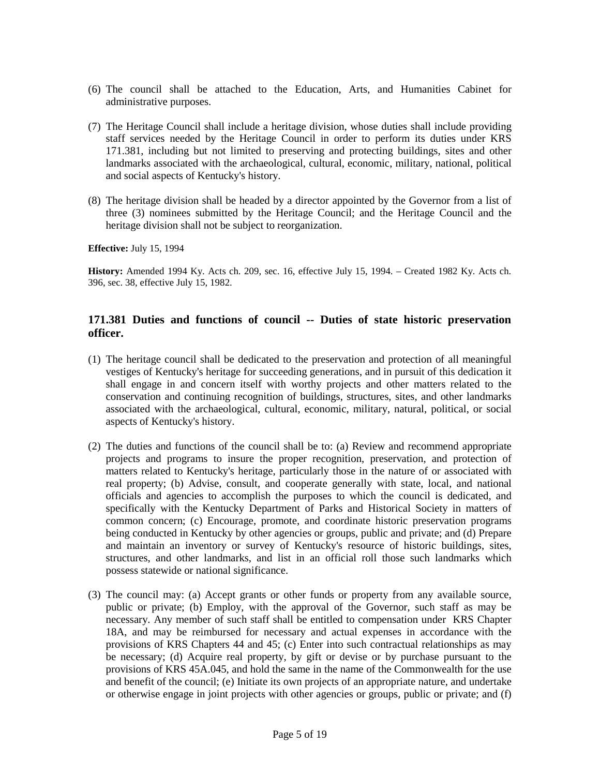- (6) The council shall be attached to the Education, Arts, and Humanities Cabinet for administrative purposes.
- (7) The Heritage Council shall include a heritage division, whose duties shall include providing staff services needed by the Heritage Council in order to perform its duties under KRS 171.381, including but not limited to preserving and protecting buildings, sites and other landmarks associated with the archaeological, cultural, economic, military, national, political and social aspects of Kentucky's history.
- (8) The heritage division shall be headed by a director appointed by the Governor from a list of three (3) nominees submitted by the Heritage Council; and the Heritage Council and the heritage division shall not be subject to reorganization.

**History:** Amended 1994 Ky. Acts ch. 209, sec. 16, effective July 15, 1994. – Created 1982 Ky. Acts ch. 396, sec. 38, effective July 15, 1982.

### **171.381 Duties and functions of council -- Duties of state historic preservation officer.**

- (1) The heritage council shall be dedicated to the preservation and protection of all meaningful vestiges of Kentucky's heritage for succeeding generations, and in pursuit of this dedication it shall engage in and concern itself with worthy projects and other matters related to the conservation and continuing recognition of buildings, structures, sites, and other landmarks associated with the archaeological, cultural, economic, military, natural, political, or social aspects of Kentucky's history.
- (2) The duties and functions of the council shall be to: (a) Review and recommend appropriate projects and programs to insure the proper recognition, preservation, and protection of matters related to Kentucky's heritage, particularly those in the nature of or associated with real property; (b) Advise, consult, and cooperate generally with state, local, and national officials and agencies to accomplish the purposes to which the council is dedicated, and specifically with the Kentucky Department of Parks and Historical Society in matters of common concern; (c) Encourage, promote, and coordinate historic preservation programs being conducted in Kentucky by other agencies or groups, public and private; and (d) Prepare and maintain an inventory or survey of Kentucky's resource of historic buildings, sites, structures, and other landmarks, and list in an official roll those such landmarks which possess statewide or national significance.
- (3) The council may: (a) Accept grants or other funds or property from any available source, public or private; (b) Employ, with the approval of the Governor, such staff as may be necessary. Any member of such staff shall be entitled to compensation under KRS Chapter 18A, and may be reimbursed for necessary and actual expenses in accordance with the provisions of KRS Chapters 44 and 45; (c) Enter into such contractual relationships as may be necessary; (d) Acquire real property, by gift or devise or by purchase pursuant to the provisions of KRS 45A.045, and hold the same in the name of the Commonwealth for the use and benefit of the council; (e) Initiate its own projects of an appropriate nature, and undertake or otherwise engage in joint projects with other agencies or groups, public or private; and (f)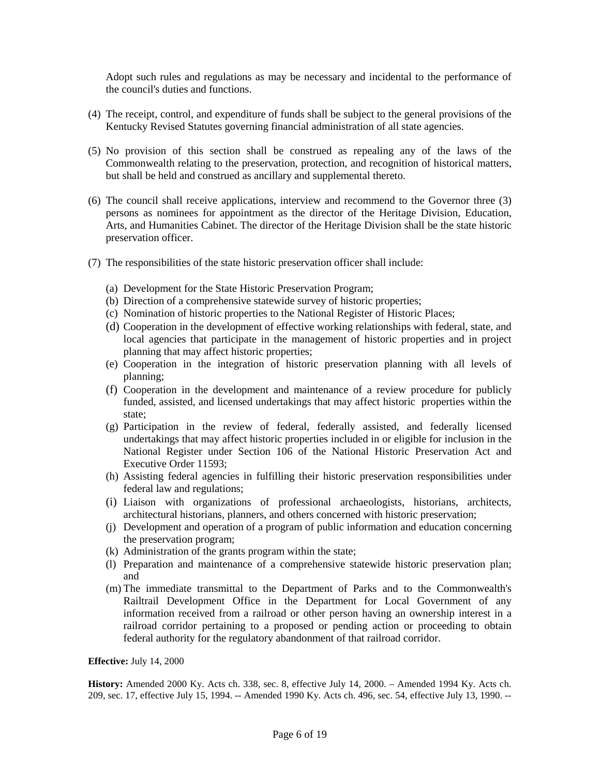Adopt such rules and regulations as may be necessary and incidental to the performance of the council's duties and functions.

- (4) The receipt, control, and expenditure of funds shall be subject to the general provisions of the Kentucky Revised Statutes governing financial administration of all state agencies.
- (5) No provision of this section shall be construed as repealing any of the laws of the Commonwealth relating to the preservation, protection, and recognition of historical matters, but shall be held and construed as ancillary and supplemental thereto.
- (6) The council shall receive applications, interview and recommend to the Governor three (3) persons as nominees for appointment as the director of the Heritage Division, Education, Arts, and Humanities Cabinet. The director of the Heritage Division shall be the state historic preservation officer.
- (7) The responsibilities of the state historic preservation officer shall include:
	- (a) Development for the State Historic Preservation Program;
	- (b) Direction of a comprehensive statewide survey of historic properties;
	- (c) Nomination of historic properties to the National Register of Historic Places;
	- (d) Cooperation in the development of effective working relationships with federal, state, and local agencies that participate in the management of historic properties and in project planning that may affect historic properties;
	- (e) Cooperation in the integration of historic preservation planning with all levels of planning;
	- (f) Cooperation in the development and maintenance of a review procedure for publicly funded, assisted, and licensed undertakings that may affect historic properties within the state;
	- (g) Participation in the review of federal, federally assisted, and federally licensed undertakings that may affect historic properties included in or eligible for inclusion in the National Register under Section 106 of the National Historic Preservation Act and Executive Order 11593;
	- (h) Assisting federal agencies in fulfilling their historic preservation responsibilities under federal law and regulations;
	- (i) Liaison with organizations of professional archaeologists, historians, architects, architectural historians, planners, and others concerned with historic preservation;
	- (j) Development and operation of a program of public information and education concerning the preservation program;
	- (k) Administration of the grants program within the state;
	- (l) Preparation and maintenance of a comprehensive statewide historic preservation plan; and
	- (m) The immediate transmittal to the Department of Parks and to the Commonwealth's Railtrail Development Office in the Department for Local Government of any information received from a railroad or other person having an ownership interest in a railroad corridor pertaining to a proposed or pending action or proceeding to obtain federal authority for the regulatory abandonment of that railroad corridor.

#### **Effective:** July 14, 2000

**History:** Amended 2000 Ky. Acts ch. 338, sec. 8, effective July 14, 2000. – Amended 1994 Ky. Acts ch. 209, sec. 17, effective July 15, 1994. -- Amended 1990 Ky. Acts ch. 496, sec. 54, effective July 13, 1990. --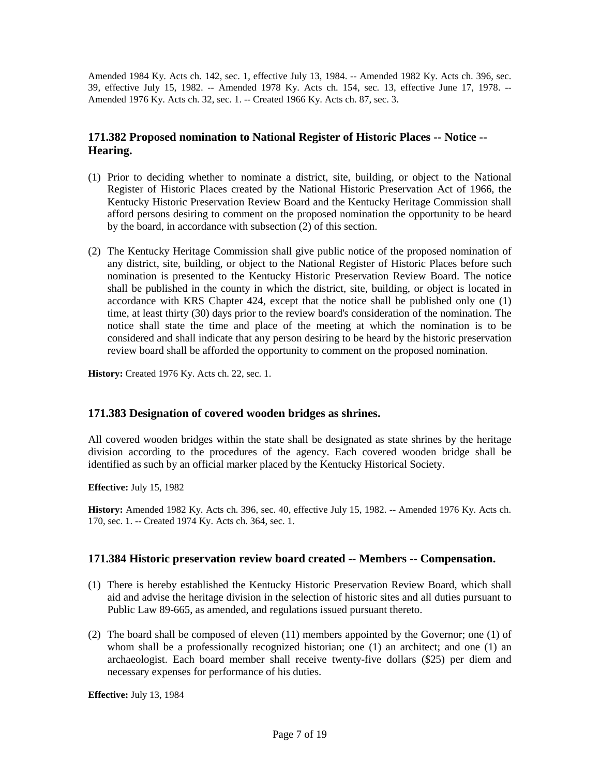Amended 1984 Ky. Acts ch. 142, sec. 1, effective July 13, 1984. -- Amended 1982 Ky. Acts ch. 396, sec. 39, effective July 15, 1982. -- Amended 1978 Ky. Acts ch. 154, sec. 13, effective June 17, 1978. -- Amended 1976 Ky. Acts ch. 32, sec. 1. -- Created 1966 Ky. Acts ch. 87, sec. 3.

## **171.382 Proposed nomination to National Register of Historic Places -- Notice -- Hearing.**

- (1) Prior to deciding whether to nominate a district, site, building, or object to the National Register of Historic Places created by the National Historic Preservation Act of 1966, the Kentucky Historic Preservation Review Board and the Kentucky Heritage Commission shall afford persons desiring to comment on the proposed nomination the opportunity to be heard by the board, in accordance with subsection (2) of this section.
- (2) The Kentucky Heritage Commission shall give public notice of the proposed nomination of any district, site, building, or object to the National Register of Historic Places before such nomination is presented to the Kentucky Historic Preservation Review Board. The notice shall be published in the county in which the district, site, building, or object is located in accordance with KRS Chapter 424, except that the notice shall be published only one (1) time, at least thirty (30) days prior to the review board's consideration of the nomination. The notice shall state the time and place of the meeting at which the nomination is to be considered and shall indicate that any person desiring to be heard by the historic preservation review board shall be afforded the opportunity to comment on the proposed nomination.

**History:** Created 1976 Ky. Acts ch. 22, sec. 1.

### **171.383 Designation of covered wooden bridges as shrines.**

All covered wooden bridges within the state shall be designated as state shrines by the heritage division according to the procedures of the agency. Each covered wooden bridge shall be identified as such by an official marker placed by the Kentucky Historical Society.

**Effective:** July 15, 1982

**History:** Amended 1982 Ky. Acts ch. 396, sec. 40, effective July 15, 1982. -- Amended 1976 Ky. Acts ch. 170, sec. 1. -- Created 1974 Ky. Acts ch. 364, sec. 1.

### **171.384 Historic preservation review board created -- Members -- Compensation.**

- (1) There is hereby established the Kentucky Historic Preservation Review Board, which shall aid and advise the heritage division in the selection of historic sites and all duties pursuant to Public Law 89-665, as amended, and regulations issued pursuant thereto.
- (2) The board shall be composed of eleven (11) members appointed by the Governor; one (1) of whom shall be a professionally recognized historian; one (1) an architect; and one (1) an archaeologist. Each board member shall receive twenty-five dollars (\$25) per diem and necessary expenses for performance of his duties.

**Effective:** July 13, 1984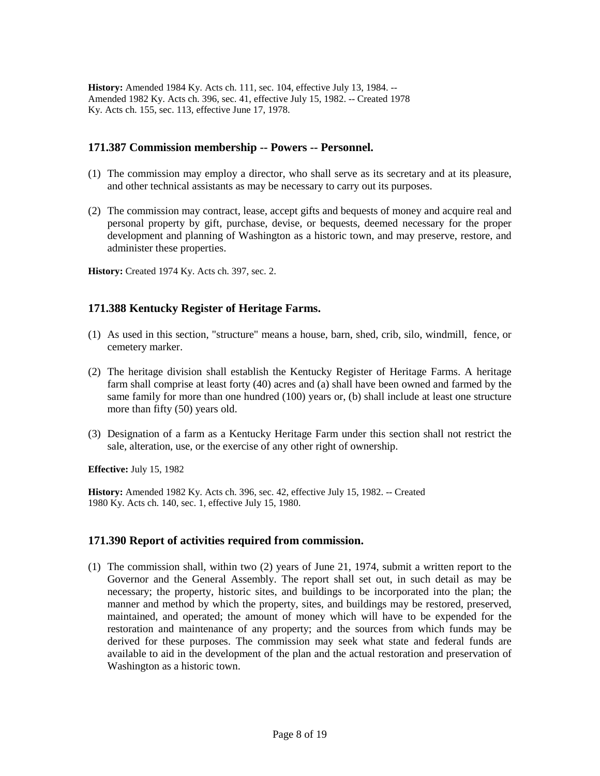**History:** Amended 1984 Ky. Acts ch. 111, sec. 104, effective July 13, 1984. -- Amended 1982 Ky. Acts ch. 396, sec. 41, effective July 15, 1982. -- Created 1978 Ky. Acts ch. 155, sec. 113, effective June 17, 1978.

### **171.387 Commission membership -- Powers -- Personnel.**

- (1) The commission may employ a director, who shall serve as its secretary and at its pleasure, and other technical assistants as may be necessary to carry out its purposes.
- (2) The commission may contract, lease, accept gifts and bequests of money and acquire real and personal property by gift, purchase, devise, or bequests, deemed necessary for the proper development and planning of Washington as a historic town, and may preserve, restore, and administer these properties.

**History:** Created 1974 Ky. Acts ch. 397, sec. 2.

## **171.388 Kentucky Register of Heritage Farms.**

- (1) As used in this section, "structure" means a house, barn, shed, crib, silo, windmill, fence, or cemetery marker.
- (2) The heritage division shall establish the Kentucky Register of Heritage Farms. A heritage farm shall comprise at least forty (40) acres and (a) shall have been owned and farmed by the same family for more than one hundred (100) years or, (b) shall include at least one structure more than fifty (50) years old.
- (3) Designation of a farm as a Kentucky Heritage Farm under this section shall not restrict the sale, alteration, use, or the exercise of any other right of ownership.

**Effective:** July 15, 1982

**History:** Amended 1982 Ky. Acts ch. 396, sec. 42, effective July 15, 1982. -- Created 1980 Ky. Acts ch. 140, sec. 1, effective July 15, 1980.

### **171.390 Report of activities required from commission.**

(1) The commission shall, within two (2) years of June 21, 1974, submit a written report to the Governor and the General Assembly. The report shall set out, in such detail as may be necessary; the property, historic sites, and buildings to be incorporated into the plan; the manner and method by which the property, sites, and buildings may be restored, preserved, maintained, and operated; the amount of money which will have to be expended for the restoration and maintenance of any property; and the sources from which funds may be derived for these purposes. The commission may seek what state and federal funds are available to aid in the development of the plan and the actual restoration and preservation of Washington as a historic town.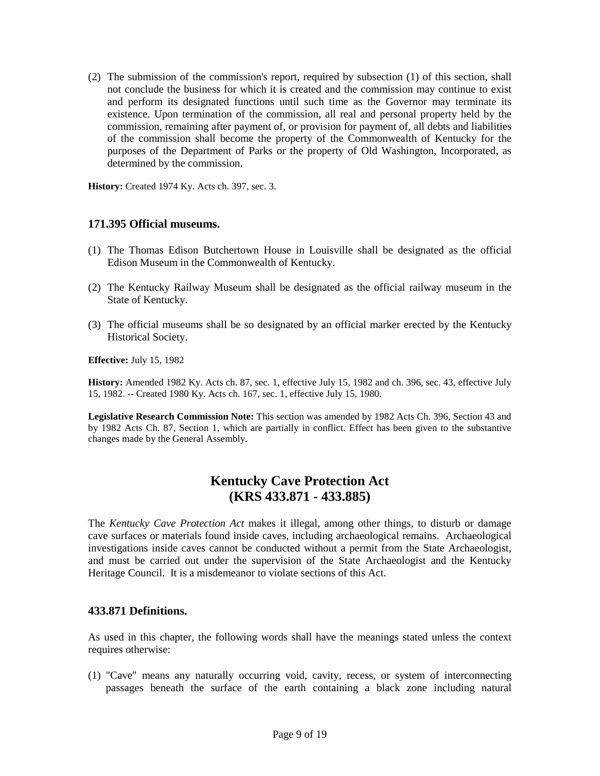(2) The submission of the commission's report, required by subsection (1) of this section, shall not conclude the business for which it is created and the commission may continue to exist and perform its designated functions until such time as the Governor may terminate its existence. Upon termination of the commission, all real and personal property held by the commission, remaining after payment of, or provision for payment of, all debts and liabilities of the commission shall become the property of the Commonwealth of Kentucky for the purposes of the Department of Parks or the property of Old Washington, Incorporated, as determined by the commission.

**History:** Created 1974 Ky. Acts ch. 397, sec. 3.

### **171.395 Official museums.**

- (1) The Thomas Edison Butchertown House in Louisville shall be designated as the official Edison Museum in the Commonwealth of Kentucky.
- (2) The Kentucky Railway Museum shall be designated as the official railway museum in the State of Kentucky.
- (3) The official museums shall be so designated by an official marker erected by the Kentucky Historical Society.

**Effective:** July 15, 1982

**History:** Amended 1982 Ky. Acts ch. 87, sec. 1, effective July 15, 1982 and ch. 396, sec. 43, effective July 15, 1982. -- Created 1980 Ky. Acts ch. 167, sec. 1, effective July 15, 1980.

**Legislative Research Commission Note:** This section was amended by 1982 Acts Ch. 396, Section 43 and by 1982 Acts Ch. 87, Section 1, which are partially in conflict. Effect has been given to the substantive changes made by the General Assembly.

## **Kentucky Cave Protection Act (KRS 433.871 - 433.885)**

The *Kentucky Cave Protection Act* makes it illegal, among other things, to disturb or damage cave surfaces or materials found inside caves, including archaeological remains. Archaeological investigations inside caves cannot be conducted without a permit from the State Archaeologist, and must be carried out under the supervision of the State Archaeologist and the Kentucky Heritage Council. It is a misdemeanor to violate sections of this Act.

### **433.871 Definitions.**

As used in this chapter, the following words shall have the meanings stated unless the context requires otherwise:

(1) "Cave" means any naturally occurring void, cavity, recess, or system of interconnecting passages beneath the surface of the earth containing a black zone including natural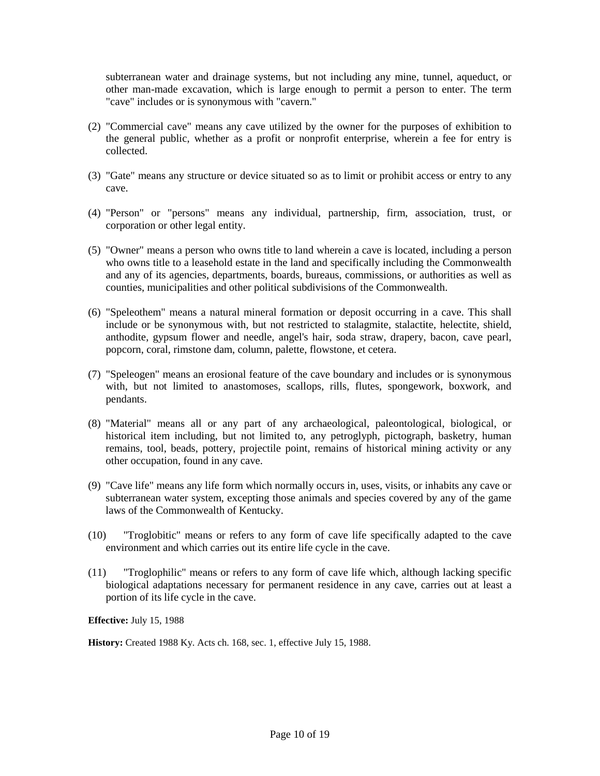subterranean water and drainage systems, but not including any mine, tunnel, aqueduct, or other man-made excavation, which is large enough to permit a person to enter. The term "cave" includes or is synonymous with "cavern."

- (2) "Commercial cave" means any cave utilized by the owner for the purposes of exhibition to the general public, whether as a profit or nonprofit enterprise, wherein a fee for entry is collected.
- (3) "Gate" means any structure or device situated so as to limit or prohibit access or entry to any cave.
- (4) "Person" or "persons" means any individual, partnership, firm, association, trust, or corporation or other legal entity.
- (5) "Owner" means a person who owns title to land wherein a cave is located, including a person who owns title to a leasehold estate in the land and specifically including the Commonwealth and any of its agencies, departments, boards, bureaus, commissions, or authorities as well as counties, municipalities and other political subdivisions of the Commonwealth.
- (6) "Speleothem" means a natural mineral formation or deposit occurring in a cave. This shall include or be synonymous with, but not restricted to stalagmite, stalactite, helectite, shield, anthodite, gypsum flower and needle, angel's hair, soda straw, drapery, bacon, cave pearl, popcorn, coral, rimstone dam, column, palette, flowstone, et cetera.
- (7) "Speleogen" means an erosional feature of the cave boundary and includes or is synonymous with, but not limited to anastomoses, scallops, rills, flutes, spongework, boxwork, and pendants.
- (8) "Material" means all or any part of any archaeological, paleontological, biological, or historical item including, but not limited to, any petroglyph, pictograph, basketry, human remains, tool, beads, pottery, projectile point, remains of historical mining activity or any other occupation, found in any cave.
- (9) "Cave life" means any life form which normally occurs in, uses, visits, or inhabits any cave or subterranean water system, excepting those animals and species covered by any of the game laws of the Commonwealth of Kentucky.
- (10) "Troglobitic" means or refers to any form of cave life specifically adapted to the cave environment and which carries out its entire life cycle in the cave.
- (11) "Troglophilic" means or refers to any form of cave life which, although lacking specific biological adaptations necessary for permanent residence in any cave, carries out at least a portion of its life cycle in the cave.

**Effective:** July 15, 1988

**History:** Created 1988 Ky. Acts ch. 168, sec. 1, effective July 15, 1988.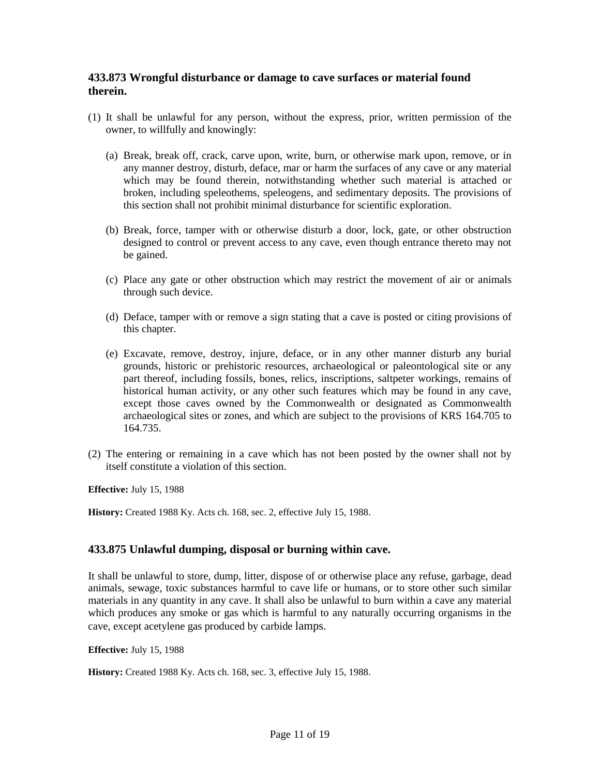## **433.873 Wrongful disturbance or damage to cave surfaces or material found therein.**

- (1) It shall be unlawful for any person, without the express, prior, written permission of the owner, to willfully and knowingly:
	- (a) Break, break off, crack, carve upon, write, burn, or otherwise mark upon, remove, or in any manner destroy, disturb, deface, mar or harm the surfaces of any cave or any material which may be found therein, notwithstanding whether such material is attached or broken, including speleothems, speleogens, and sedimentary deposits. The provisions of this section shall not prohibit minimal disturbance for scientific exploration.
	- (b) Break, force, tamper with or otherwise disturb a door, lock, gate, or other obstruction designed to control or prevent access to any cave, even though entrance thereto may not be gained.
	- (c) Place any gate or other obstruction which may restrict the movement of air or animals through such device.
	- (d) Deface, tamper with or remove a sign stating that a cave is posted or citing provisions of this chapter.
	- (e) Excavate, remove, destroy, injure, deface, or in any other manner disturb any burial grounds, historic or prehistoric resources, archaeological or paleontological site or any part thereof, including fossils, bones, relics, inscriptions, saltpeter workings, remains of historical human activity, or any other such features which may be found in any cave, except those caves owned by the Commonwealth or designated as Commonwealth archaeological sites or zones, and which are subject to the provisions of KRS 164.705 to 164.735.
- (2) The entering or remaining in a cave which has not been posted by the owner shall not by itself constitute a violation of this section.

**Effective:** July 15, 1988

**History:** Created 1988 Ky. Acts ch. 168, sec. 2, effective July 15, 1988.

### **433.875 Unlawful dumping, disposal or burning within cave.**

It shall be unlawful to store, dump, litter, dispose of or otherwise place any refuse, garbage, dead animals, sewage, toxic substances harmful to cave life or humans, or to store other such similar materials in any quantity in any cave. It shall also be unlawful to burn within a cave any material which produces any smoke or gas which is harmful to any naturally occurring organisms in the cave, except acetylene gas produced by carbide lamps.

**Effective:** July 15, 1988

**History:** Created 1988 Ky. Acts ch. 168, sec. 3, effective July 15, 1988.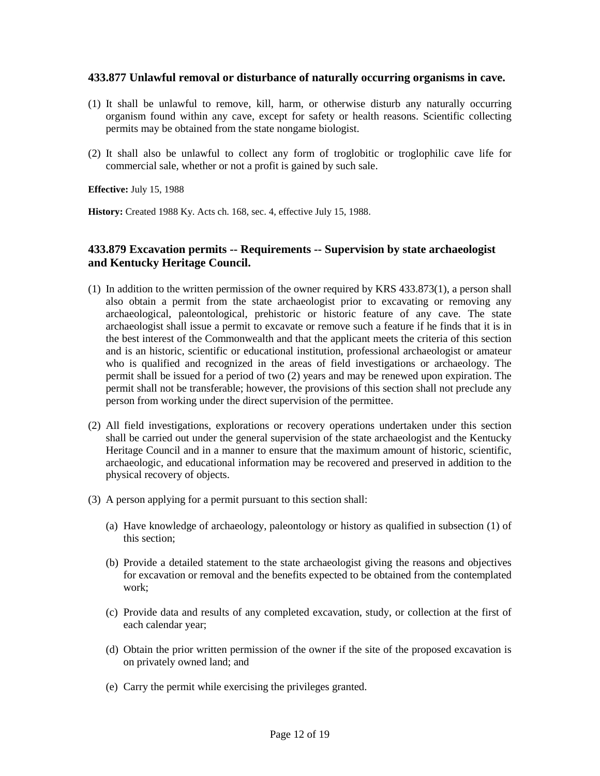### **433.877 Unlawful removal or disturbance of naturally occurring organisms in cave.**

- (1) It shall be unlawful to remove, kill, harm, or otherwise disturb any naturally occurring organism found within any cave, except for safety or health reasons. Scientific collecting permits may be obtained from the state nongame biologist.
- (2) It shall also be unlawful to collect any form of troglobitic or troglophilic cave life for commercial sale, whether or not a profit is gained by such sale.

**Effective:** July 15, 1988

**History:** Created 1988 Ky. Acts ch. 168, sec. 4, effective July 15, 1988.

## **433.879 Excavation permits -- Requirements -- Supervision by state archaeologist and Kentucky Heritage Council.**

- (1) In addition to the written permission of the owner required by KRS 433.873(1), a person shall also obtain a permit from the state archaeologist prior to excavating or removing any archaeological, paleontological, prehistoric or historic feature of any cave. The state archaeologist shall issue a permit to excavate or remove such a feature if he finds that it is in the best interest of the Commonwealth and that the applicant meets the criteria of this section and is an historic, scientific or educational institution, professional archaeologist or amateur who is qualified and recognized in the areas of field investigations or archaeology. The permit shall be issued for a period of two (2) years and may be renewed upon expiration. The permit shall not be transferable; however, the provisions of this section shall not preclude any person from working under the direct supervision of the permittee.
- (2) All field investigations, explorations or recovery operations undertaken under this section shall be carried out under the general supervision of the state archaeologist and the Kentucky Heritage Council and in a manner to ensure that the maximum amount of historic, scientific, archaeologic, and educational information may be recovered and preserved in addition to the physical recovery of objects.
- (3) A person applying for a permit pursuant to this section shall:
	- (a) Have knowledge of archaeology, paleontology or history as qualified in subsection (1) of this section;
	- (b) Provide a detailed statement to the state archaeologist giving the reasons and objectives for excavation or removal and the benefits expected to be obtained from the contemplated work;
	- (c) Provide data and results of any completed excavation, study, or collection at the first of each calendar year;
	- (d) Obtain the prior written permission of the owner if the site of the proposed excavation is on privately owned land; and
	- (e) Carry the permit while exercising the privileges granted.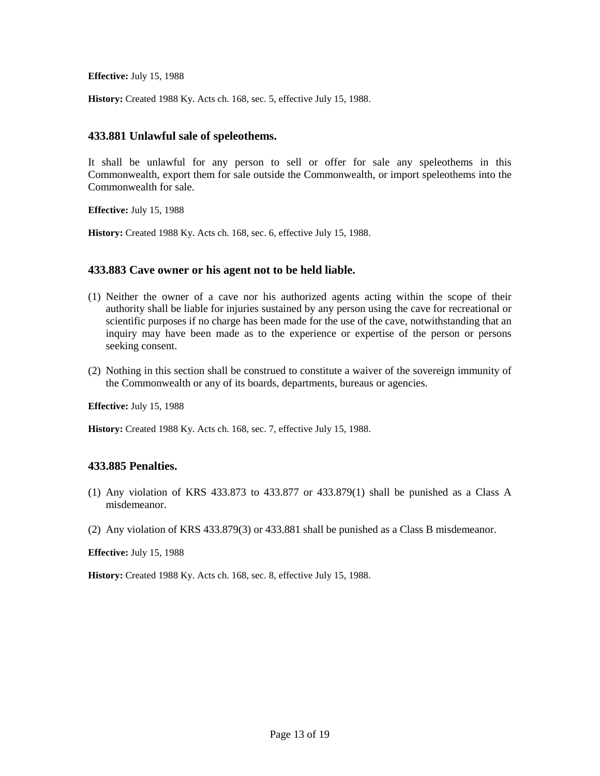**History:** Created 1988 Ky. Acts ch. 168, sec. 5, effective July 15, 1988.

### **433.881 Unlawful sale of speleothems.**

It shall be unlawful for any person to sell or offer for sale any speleothems in this Commonwealth, export them for sale outside the Commonwealth, or import speleothems into the Commonwealth for sale.

**Effective:** July 15, 1988

**History:** Created 1988 Ky. Acts ch. 168, sec. 6, effective July 15, 1988.

### **433.883 Cave owner or his agent not to be held liable.**

- (1) Neither the owner of a cave nor his authorized agents acting within the scope of their authority shall be liable for injuries sustained by any person using the cave for recreational or scientific purposes if no charge has been made for the use of the cave, notwithstanding that an inquiry may have been made as to the experience or expertise of the person or persons seeking consent.
- (2) Nothing in this section shall be construed to constitute a waiver of the sovereign immunity of the Commonwealth or any of its boards, departments, bureaus or agencies.

**Effective:** July 15, 1988

**History:** Created 1988 Ky. Acts ch. 168, sec. 7, effective July 15, 1988.

### **433.885 Penalties.**

- (1) Any violation of KRS 433.873 to 433.877 or 433.879(1) shall be punished as a Class A misdemeanor.
- (2) Any violation of KRS 433.879(3) or 433.881 shall be punished as a Class B misdemeanor.

**Effective:** July 15, 1988

**History:** Created 1988 Ky. Acts ch. 168, sec. 8, effective July 15, 1988.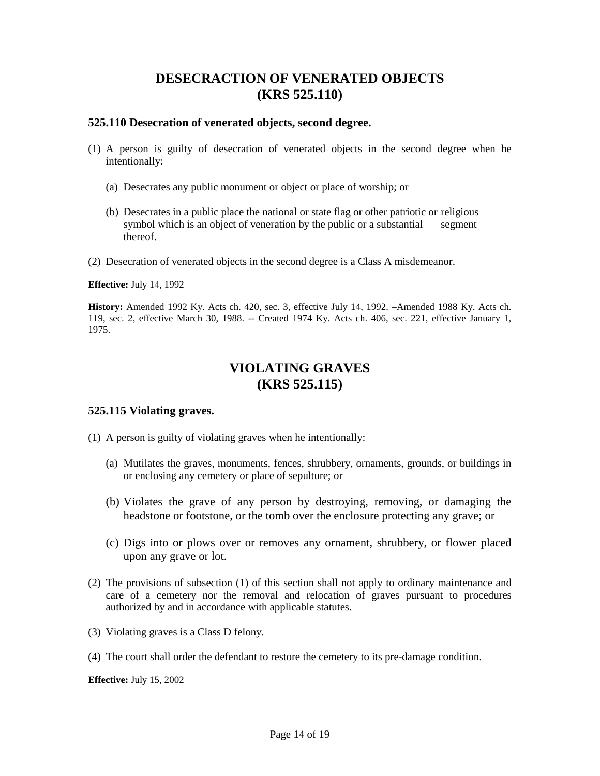## **DESECRACTION OF VENERATED OBJECTS (KRS 525.110)**

### **525.110 Desecration of venerated objects, second degree.**

- (1) A person is guilty of desecration of venerated objects in the second degree when he intentionally:
	- (a) Desecrates any public monument or object or place of worship; or
	- (b) Desecrates in a public place the national or state flag or other patriotic or religious symbol which is an object of veneration by the public or a substantial segment thereof.
- (2) Desecration of venerated objects in the second degree is a Class A misdemeanor.

**Effective:** July 14, 1992

**History:** Amended 1992 Ky. Acts ch. 420, sec. 3, effective July 14, 1992. –Amended 1988 Ky. Acts ch. 119, sec. 2, effective March 30, 1988. -- Created 1974 Ky. Acts ch. 406, sec. 221, effective January 1, 1975.

# **VIOLATING GRAVES (KRS 525.115)**

### **525.115 Violating graves.**

- (1) A person is guilty of violating graves when he intentionally:
	- (a) Mutilates the graves, monuments, fences, shrubbery, ornaments, grounds, or buildings in or enclosing any cemetery or place of sepulture; or
	- (b) Violates the grave of any person by destroying, removing, or damaging the headstone or footstone, or the tomb over the enclosure protecting any grave; or
	- (c) Digs into or plows over or removes any ornament, shrubbery, or flower placed upon any grave or lot.
- (2) The provisions of subsection (1) of this section shall not apply to ordinary maintenance and care of a cemetery nor the removal and relocation of graves pursuant to procedures authorized by and in accordance with applicable statutes.
- (3) Violating graves is a Class D felony.
- (4) The court shall order the defendant to restore the cemetery to its pre-damage condition.

**Effective:** July 15, 2002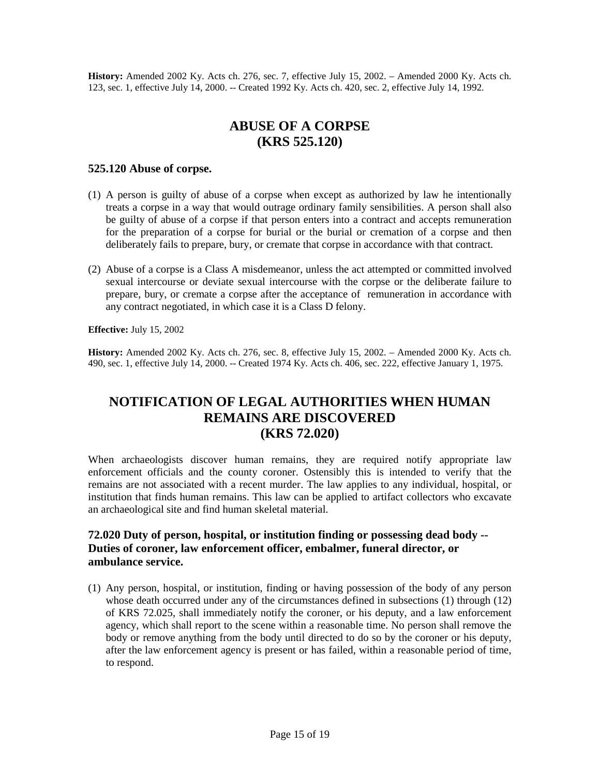**History:** Amended 2002 Ky. Acts ch. 276, sec. 7, effective July 15, 2002. – Amended 2000 Ky. Acts ch. 123, sec. 1, effective July 14, 2000. -- Created 1992 Ky. Acts ch. 420, sec. 2, effective July 14, 1992.

## **ABUSE OF A CORPSE (KRS 525.120)**

#### **525.120 Abuse of corpse.**

- (1) A person is guilty of abuse of a corpse when except as authorized by law he intentionally treats a corpse in a way that would outrage ordinary family sensibilities. A person shall also be guilty of abuse of a corpse if that person enters into a contract and accepts remuneration for the preparation of a corpse for burial or the burial or cremation of a corpse and then deliberately fails to prepare, bury, or cremate that corpse in accordance with that contract.
- (2) Abuse of a corpse is a Class A misdemeanor, unless the act attempted or committed involved sexual intercourse or deviate sexual intercourse with the corpse or the deliberate failure to prepare, bury, or cremate a corpse after the acceptance of remuneration in accordance with any contract negotiated, in which case it is a Class D felony.

**Effective:** July 15, 2002

**History:** Amended 2002 Ky. Acts ch. 276, sec. 8, effective July 15, 2002. – Amended 2000 Ky. Acts ch. 490, sec. 1, effective July 14, 2000. -- Created 1974 Ky. Acts ch. 406, sec. 222, effective January 1, 1975.

## **NOTIFICATION OF LEGAL AUTHORITIES WHEN HUMAN REMAINS ARE DISCOVERED (KRS 72.020)**

When archaeologists discover human remains, they are required notify appropriate law enforcement officials and the county coroner. Ostensibly this is intended to verify that the remains are not associated with a recent murder. The law applies to any individual, hospital, or institution that finds human remains. This law can be applied to artifact collectors who excavate an archaeological site and find human skeletal material.

## **72.020 Duty of person, hospital, or institution finding or possessing dead body -- Duties of coroner, law enforcement officer, embalmer, funeral director, or ambulance service.**

(1) Any person, hospital, or institution, finding or having possession of the body of any person whose death occurred under any of the circumstances defined in subsections (1) through (12) of KRS 72.025, shall immediately notify the coroner, or his deputy, and a law enforcement agency, which shall report to the scene within a reasonable time. No person shall remove the body or remove anything from the body until directed to do so by the coroner or his deputy, after the law enforcement agency is present or has failed, within a reasonable period of time, to respond.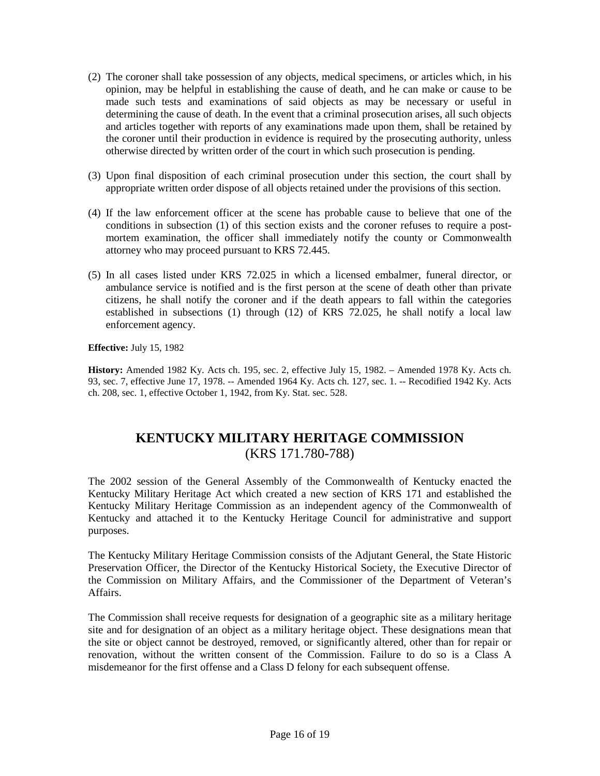- (2) The coroner shall take possession of any objects, medical specimens, or articles which, in his opinion, may be helpful in establishing the cause of death, and he can make or cause to be made such tests and examinations of said objects as may be necessary or useful in determining the cause of death. In the event that a criminal prosecution arises, all such objects and articles together with reports of any examinations made upon them, shall be retained by the coroner until their production in evidence is required by the prosecuting authority, unless otherwise directed by written order of the court in which such prosecution is pending.
- (3) Upon final disposition of each criminal prosecution under this section, the court shall by appropriate written order dispose of all objects retained under the provisions of this section.
- (4) If the law enforcement officer at the scene has probable cause to believe that one of the conditions in subsection (1) of this section exists and the coroner refuses to require a postmortem examination, the officer shall immediately notify the county or Commonwealth attorney who may proceed pursuant to KRS 72.445.
- (5) In all cases listed under KRS 72.025 in which a licensed embalmer, funeral director, or ambulance service is notified and is the first person at the scene of death other than private citizens, he shall notify the coroner and if the death appears to fall within the categories established in subsections (1) through (12) of KRS 72.025, he shall notify a local law enforcement agency.

**History:** Amended 1982 Ky. Acts ch. 195, sec. 2, effective July 15, 1982. – Amended 1978 Ky. Acts ch. 93, sec. 7, effective June 17, 1978. -- Amended 1964 Ky. Acts ch. 127, sec. 1. -- Recodified 1942 Ky. Acts ch. 208, sec. 1, effective October 1, 1942, from Ky. Stat. sec. 528.

# **KENTUCKY MILITARY HERITAGE COMMISSION** (KRS 171.780-788)

The 2002 session of the General Assembly of the Commonwealth of Kentucky enacted the Kentucky Military Heritage Act which created a new section of KRS 171 and established the Kentucky Military Heritage Commission as an independent agency of the Commonwealth of Kentucky and attached it to the Kentucky Heritage Council for administrative and support purposes.

The Kentucky Military Heritage Commission consists of the Adjutant General, the State Historic Preservation Officer, the Director of the Kentucky Historical Society, the Executive Director of the Commission on Military Affairs, and the Commissioner of the Department of Veteran's Affairs.

The Commission shall receive requests for designation of a geographic site as a military heritage site and for designation of an object as a military heritage object. These designations mean that the site or object cannot be destroyed, removed, or significantly altered, other than for repair or renovation, without the written consent of the Commission. Failure to do so is a Class A misdemeanor for the first offense and a Class D felony for each subsequent offense.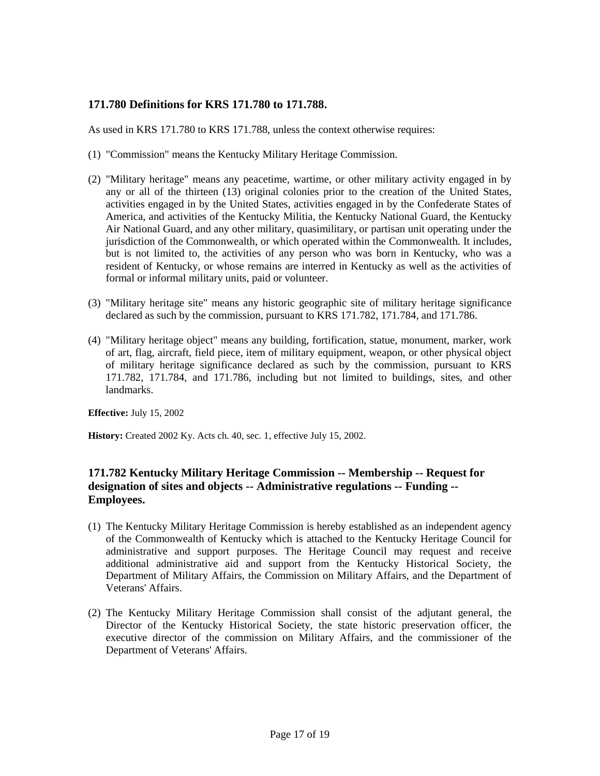## **171.780 Definitions for KRS 171.780 to 171.788.**

As used in KRS 171.780 to KRS 171.788, unless the context otherwise requires:

- (1) "Commission" means the Kentucky Military Heritage Commission.
- (2) "Military heritage" means any peacetime, wartime, or other military activity engaged in by any or all of the thirteen (13) original colonies prior to the creation of the United States, activities engaged in by the United States, activities engaged in by the Confederate States of America, and activities of the Kentucky Militia, the Kentucky National Guard, the Kentucky Air National Guard, and any other military, quasimilitary, or partisan unit operating under the jurisdiction of the Commonwealth, or which operated within the Commonwealth. It includes, but is not limited to, the activities of any person who was born in Kentucky, who was a resident of Kentucky, or whose remains are interred in Kentucky as well as the activities of formal or informal military units, paid or volunteer.
- (3) "Military heritage site" means any historic geographic site of military heritage significance declared as such by the commission, pursuant to KRS 171.782, 171.784, and 171.786.
- (4) "Military heritage object" means any building, fortification, statue, monument, marker, work of art, flag, aircraft, field piece, item of military equipment, weapon, or other physical object of military heritage significance declared as such by the commission, pursuant to KRS 171.782, 171.784, and 171.786, including but not limited to buildings, sites, and other landmarks.

**Effective:** July 15, 2002

**History:** Created 2002 Ky. Acts ch. 40, sec. 1, effective July 15, 2002.

## **171.782 Kentucky Military Heritage Commission -- Membership -- Request for designation of sites and objects -- Administrative regulations -- Funding -- Employees.**

- (1) The Kentucky Military Heritage Commission is hereby established as an independent agency of the Commonwealth of Kentucky which is attached to the Kentucky Heritage Council for administrative and support purposes. The Heritage Council may request and receive additional administrative aid and support from the Kentucky Historical Society, the Department of Military Affairs, the Commission on Military Affairs, and the Department of Veterans' Affairs.
- (2) The Kentucky Military Heritage Commission shall consist of the adjutant general, the Director of the Kentucky Historical Society, the state historic preservation officer, the executive director of the commission on Military Affairs, and the commissioner of the Department of Veterans' Affairs.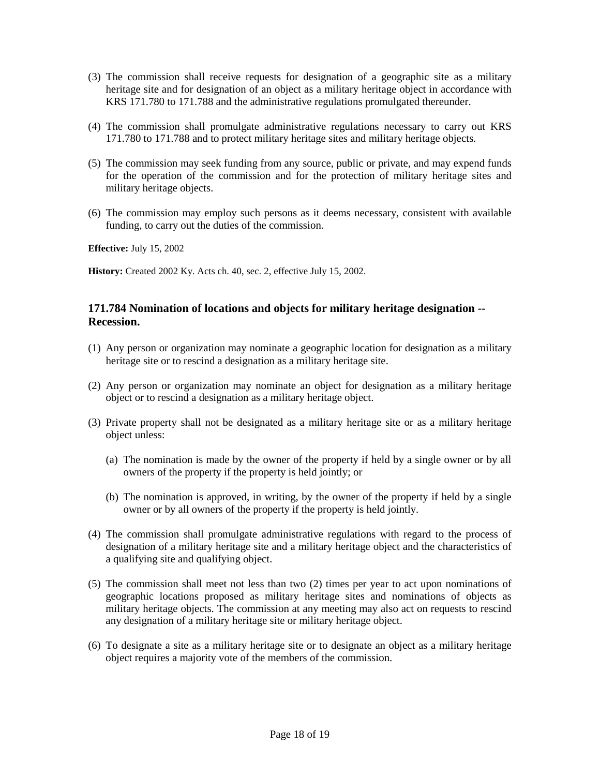- (3) The commission shall receive requests for designation of a geographic site as a military heritage site and for designation of an object as a military heritage object in accordance with KRS 171.780 to 171.788 and the administrative regulations promulgated thereunder.
- (4) The commission shall promulgate administrative regulations necessary to carry out KRS 171.780 to 171.788 and to protect military heritage sites and military heritage objects.
- (5) The commission may seek funding from any source, public or private, and may expend funds for the operation of the commission and for the protection of military heritage sites and military heritage objects.
- (6) The commission may employ such persons as it deems necessary, consistent with available funding, to carry out the duties of the commission.

**History:** Created 2002 Ky. Acts ch. 40, sec. 2, effective July 15, 2002.

### **171.784 Nomination of locations and objects for military heritage designation -- Recession.**

- (1) Any person or organization may nominate a geographic location for designation as a military heritage site or to rescind a designation as a military heritage site.
- (2) Any person or organization may nominate an object for designation as a military heritage object or to rescind a designation as a military heritage object.
- (3) Private property shall not be designated as a military heritage site or as a military heritage object unless:
	- (a) The nomination is made by the owner of the property if held by a single owner or by all owners of the property if the property is held jointly; or
	- (b) The nomination is approved, in writing, by the owner of the property if held by a single owner or by all owners of the property if the property is held jointly.
- (4) The commission shall promulgate administrative regulations with regard to the process of designation of a military heritage site and a military heritage object and the characteristics of a qualifying site and qualifying object.
- (5) The commission shall meet not less than two (2) times per year to act upon nominations of geographic locations proposed as military heritage sites and nominations of objects as military heritage objects. The commission at any meeting may also act on requests to rescind any designation of a military heritage site or military heritage object.
- (6) To designate a site as a military heritage site or to designate an object as a military heritage object requires a majority vote of the members of the commission.